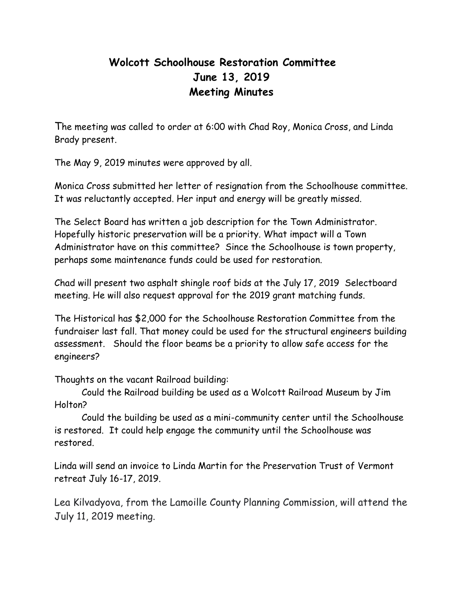## **Wolcott Schoolhouse Restoration Committee June 13, 2019 Meeting Minutes**

The meeting was called to order at 6:00 with Chad Roy, Monica Cross, and Linda Brady present.

The May 9, 2019 minutes were approved by all.

Monica Cross submitted her letter of resignation from the Schoolhouse committee. It was reluctantly accepted. Her input and energy will be greatly missed.

The Select Board has written a job description for the Town Administrator. Hopefully historic preservation will be a priority. What impact will a Town Administrator have on this committee? Since the Schoolhouse is town property, perhaps some maintenance funds could be used for restoration.

Chad will present two asphalt shingle roof bids at the July 17, 2019 Selectboard meeting. He will also request approval for the 2019 grant matching funds.

The Historical has \$2,000 for the Schoolhouse Restoration Committee from the fundraiser last fall. That money could be used for the structural engineers building assessment. Should the floor beams be a priority to allow safe access for the engineers?

Thoughts on the vacant Railroad building:

Could the Railroad building be used as a Wolcott Railroad Museum by Jim Holton?

Could the building be used as a mini-community center until the Schoolhouse is restored. It could help engage the community until the Schoolhouse was restored.

Linda will send an invoice to Linda Martin for the Preservation Trust of Vermont retreat July 16-17, 2019.

Lea Kilvadyova, from the Lamoille County Planning Commission, will attend the July 11, 2019 meeting.